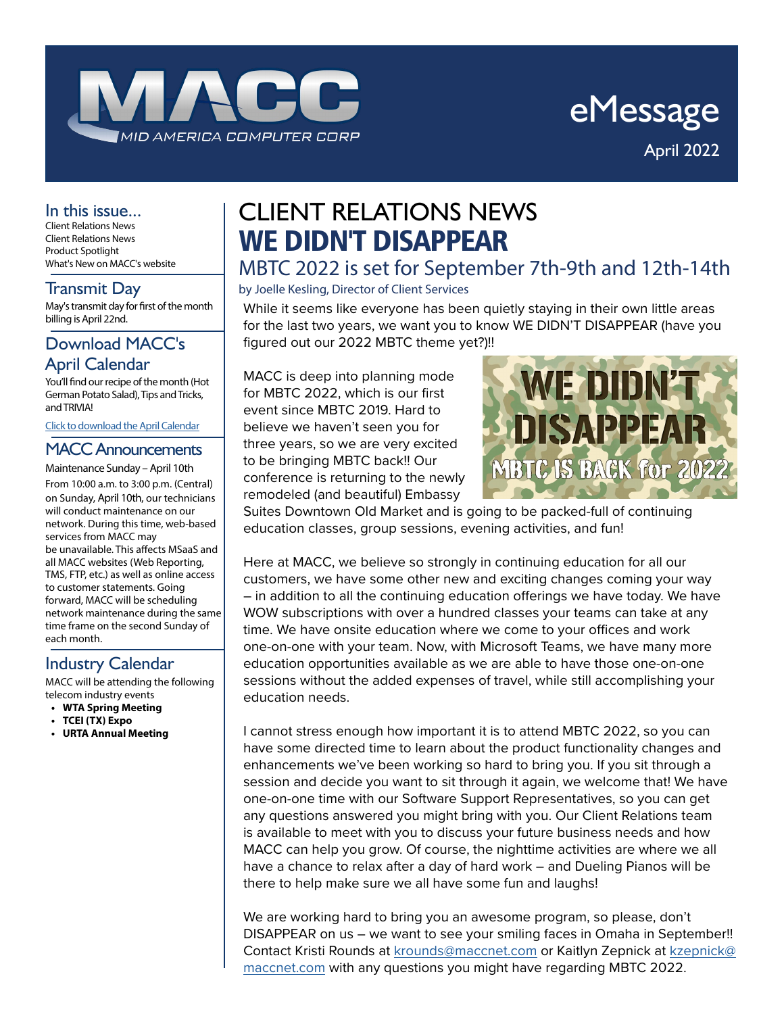

# eMessage April 2022

### In this issue...

Client Relations News Client Relations News Product Spotlight What's New on MACC's website

May's transmit day for first of the month billing is April 22nd.

# Download MACC's April Calendar

You'll find our recipe of the month (Hot German Potato Salad), Tips and Tricks, and TRIVIA!

Click to download the April Calendar

# MACC Announcements

Maintenance Sunday – April 10th From 10:00 a.m. to 3:00 p.m. (Central) on Sunday, April 10th, our technicians will conduct maintenance on our network. During this time, web-based services from MACC may be unavailable. This affects MSaaS and all MACC websites (Web Reporting, TMS, FTP, etc.) as well as online access to customer statements. Going forward, MACC will be scheduling network maintenance during the same time frame on the second Sunday of each month.

# Industry Calendar

MACC will be attending the following telecom industry events

- **• WTA Spring Meeting**
- **• TCEI (TX) Expo**
- **• URTA Annual Meeting**

# CLIENT RELATIONS NEWS WE DIDN'T DISAPPEAR

# MBTC 2022 is set for September 7th-9th and 12th-14th

### $\frac{1}{2}$  Transmit Day  $\vert$  by Joelle Kesling, Director of Client Services

While it seems like everyone has been quietly staying in their own little areas for the last two years, we want you to know WE DIDN'T DISAPPEAR (have you figured out our 2022 MBTC theme yet?)!!

MACC is deep into planning mode for MBTC 2022, which is our first event since MBTC 2019. Hard to believe we haven't seen you for three years, so we are very excited to be bringing MBTC back!! Our conference is returning to the newly remodeled (and beautiful) Embassy



Suites Downtown Old Market and is going to be packed-full of continuing education classes, group sessions, evening activities, and fun!

Here at MACC, we believe so strongly in continuing education for all our customers, we have some other new and exciting changes coming your way – in addition to all the continuing education offerings we have today. We have WOW subscriptions with over a hundred classes your teams can take at any time. We have onsite education where we come to your offices and work one-on-one with your team. Now, with Microsoft Teams, we have many more education opportunities available as we are able to have those one-on-one sessions without the added expenses of travel, while still accomplishing your education needs.

I cannot stress enough how important it is to attend MBTC 2022, so you can have some directed time to learn about the product functionality changes and enhancements we've been working so hard to bring you. If you sit through a session and decide you want to sit through it again, we welcome that! We have one-on-one time with our Software Support Representatives, so you can get any questions answered you might bring with you. Our Client Relations team is available to meet with you to discuss your future business needs and how MACC can help you grow. Of course, the nighttime activities are where we all have a chance to relax after a day of hard work – and Dueling Pianos will be there to help make sure we all have some fun and laughs!

We are working hard to bring you an awesome program, so please, don't DISAPPEAR on us – we want to see your smiling faces in Omaha in September!! Contact Kristi Rounds at [krounds@maccnet.com](mailto:krounds%40maccnet.com?subject=) or Kaitlyn Zepnick at [kzepnick@](mailto:kzepnick%40maccnet.com?subject=) [maccnet.com](mailto:kzepnick%40maccnet.com?subject=) with any questions you might have regarding MBTC 2022.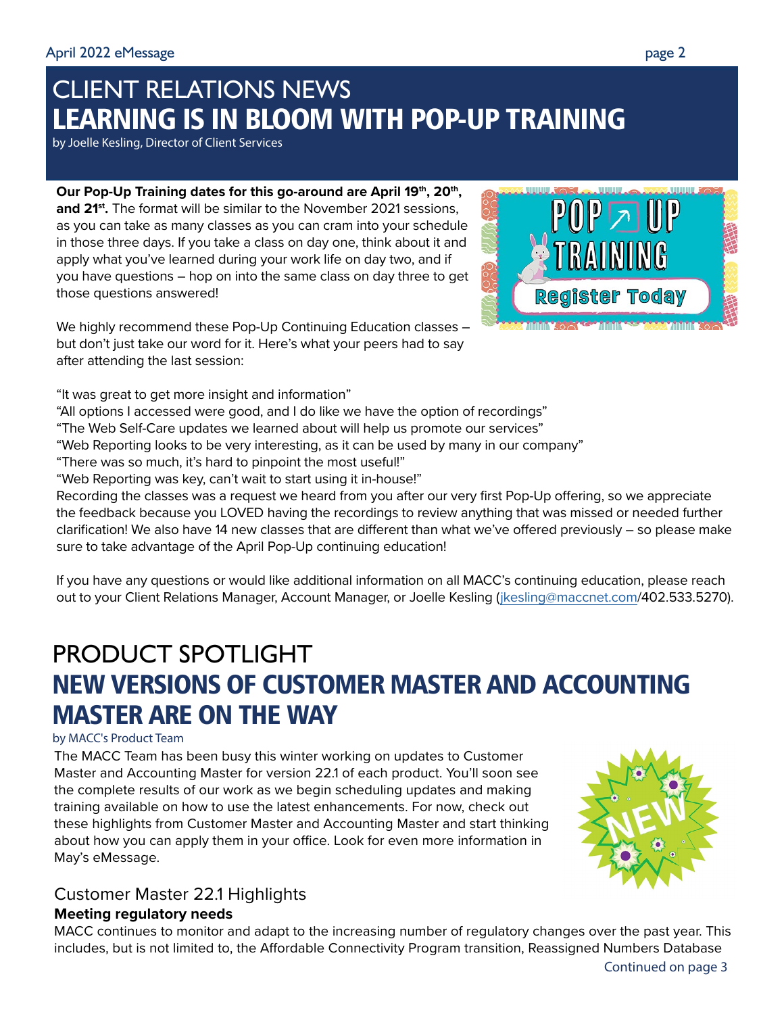# CLIENT RELATIONS NEWS LEARNING IS IN BLOOM WITH POP-UP TRAINING

by Joelle Kesling, Director of Client Services

Our Pop-Up Training dates for this go-around are April 19<sup>th</sup>, 20<sup>th</sup>, and 21<sup>st</sup>. The format will be similar to the November 2021 sessions, as you can take as many classes as you can cram into your schedule in those three days. If you take a class on day one, think about it and apply what you've learned during your work life on day two, and if you have questions – hop on into the same class on day three to get those questions answered!

We highly recommend these Pop-Up Continuing Education classes – but don't just take our word for it. Here's what your peers had to say after attending the last session:

"It was great to get more insight and information"

"All options I accessed were good, and I do like we have the option of recordings"

- "The Web Self-Care updates we learned about will help us promote our services"
- "Web Reporting looks to be very interesting, as it can be used by many in our company"
- "There was so much, it's hard to pinpoint the most useful!"
- "Web Reporting was key, can't wait to start using it in-house!"

Recording the classes was a request we heard from you after our very first Pop-Up offering, so we appreciate the feedback because you LOVED having the recordings to review anything that was missed or needed further clarification! We also have 14 new classes that are different than what we've offered previously – so please make sure to take advantage of the April Pop-Up continuing education!

If you have any questions or would like additional information on all MACC's continuing education, please reach out to your Client Relations Manager, Account Manager, or Joelle Kesling ([jkesling@maccnet.com/](mailto:jkesling%40maccnet.com?subject=)402.533.5270).

# PRODUCT SPOTLIGHT NEW VERSIONS OF CUSTOMER MASTER AND ACCOUNTING MASTER ARE ON THE WAY

## by MACC's Product Team

The MACC Team has been busy this winter working on updates to Customer Master and Accounting Master for version 22.1 of each product. You'll soon see the complete results of our work as we begin scheduling updates and making training available on how to use the latest enhancements. For now, check out these highlights from Customer Master and Accounting Master and start thinking about how you can apply them in your office. Look for even more information in May's eMessage.

# Customer Master 22.1 Highlights

# **Meeting regulatory needs**

MACC continues to monitor and adapt to the increasing number of regulatory changes over the past year. This includes, but is not limited to, the Affordable Connectivity Program transition, Reassigned Numbers Database